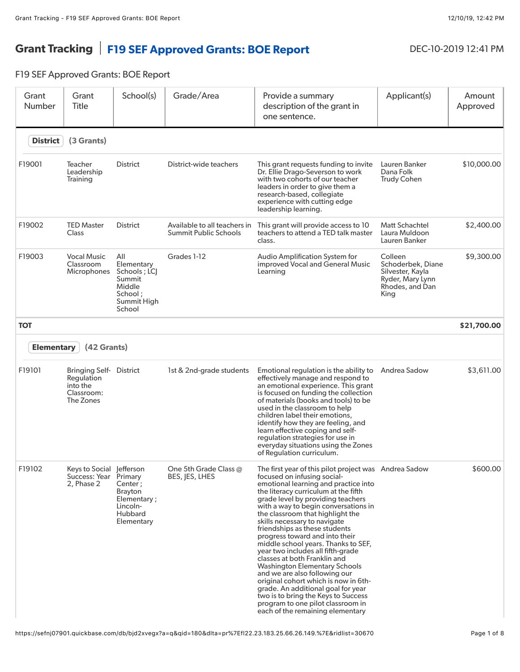## Grant Tracking | F19 SEF Approved Grants: BOE Report DEC-10-2019 12:41 PM

F19 SEF Approved Grants: BOE Report

| Grant<br>Number   | Grant<br>Title                                                             | School(s)                                                                                   | Grade/Area                                                   | Provide a summary<br>description of the grant in<br>one sentence.                                                                                                                                                                                                                                                                                                                                                                                                                                                                                                                                                                                                                                                                                                           | Applicant(s)                                                                                    | Amount<br>Approved |
|-------------------|----------------------------------------------------------------------------|---------------------------------------------------------------------------------------------|--------------------------------------------------------------|-----------------------------------------------------------------------------------------------------------------------------------------------------------------------------------------------------------------------------------------------------------------------------------------------------------------------------------------------------------------------------------------------------------------------------------------------------------------------------------------------------------------------------------------------------------------------------------------------------------------------------------------------------------------------------------------------------------------------------------------------------------------------------|-------------------------------------------------------------------------------------------------|--------------------|
| <b>District</b>   | (3 Grants)                                                                 |                                                                                             |                                                              |                                                                                                                                                                                                                                                                                                                                                                                                                                                                                                                                                                                                                                                                                                                                                                             |                                                                                                 |                    |
| F19001            | Teacher<br>Leadership<br>Training                                          | <b>District</b>                                                                             | District-wide teachers                                       | This grant requests funding to invite<br>Dr. Ellie Drago-Severson to work<br>with two cohorts of our teacher<br>leaders in order to give them a<br>research-based, collegiate<br>experience with cutting edge<br>leadership learning.                                                                                                                                                                                                                                                                                                                                                                                                                                                                                                                                       | Lauren Banker<br>Dana Folk<br><b>Trudy Cohen</b>                                                | \$10,000.00        |
| F19002            | <b>TED Master</b><br><b>Class</b>                                          | <b>District</b>                                                                             | Available to all teachers in<br><b>Summit Public Schools</b> | This grant will provide access to 10<br>teachers to attend a TED talk master<br>class.                                                                                                                                                                                                                                                                                                                                                                                                                                                                                                                                                                                                                                                                                      | <b>Matt Schachtel</b><br>Laura Muldoon<br>Lauren Banker                                         | \$2,400.00         |
| F19003            | <b>Vocal Music</b><br>Classroom<br>Microphones                             | All<br>Elementary<br>Schools ; LCJ<br>Summit<br>Middle<br>School ;<br>Summit High<br>School | Grades 1-12                                                  | Audio Amplification System for<br>improved Vocal and General Music<br>Learning                                                                                                                                                                                                                                                                                                                                                                                                                                                                                                                                                                                                                                                                                              | Colleen<br>Schoderbek, Diane<br>Silvester, Kayla<br>Ryder, Mary Lynn<br>Rhodes, and Dan<br>King | \$9,300.00         |
| <b>TOT</b>        |                                                                            |                                                                                             |                                                              |                                                                                                                                                                                                                                                                                                                                                                                                                                                                                                                                                                                                                                                                                                                                                                             |                                                                                                 | \$21,700.00        |
| <b>Elementary</b> | (42 Grants)                                                                |                                                                                             |                                                              |                                                                                                                                                                                                                                                                                                                                                                                                                                                                                                                                                                                                                                                                                                                                                                             |                                                                                                 |                    |
| F19101            | <b>Bringing Self-</b><br>Regulation<br>into the<br>Classroom:<br>The Zones | District                                                                                    | 1st & 2nd-grade students                                     | Emotional regulation is the ability to<br>effectively manage and respond to<br>an emotional experience. This grant<br>is focused on funding the collection<br>of materials (books and tools) to be<br>used in the classroom to help<br>children label their emotions,<br>identify how they are feeling, and<br>learn effective coping and self-<br>regulation strategies for use in<br>everyday situations using the Zones<br>of Regulation curriculum.                                                                                                                                                                                                                                                                                                                     | Andrea Sadow                                                                                    | \$3,611.00         |
| F19102            | Keys to Social Jefferson<br>Success: Year<br>2, Phase 2                    | Primary<br>Center;<br>Brayton<br>Elementary;<br>Lincoln-<br>Hubbard<br>Elementary           | One 5th Grade Class @<br>BES, JES, LHES                      | The first year of this pilot project was Andrea Sadow<br>focused on infusing social-<br>emotional learning and practice into<br>the literacy curriculum at the fifth<br>grade level by providing teachers<br>with a way to begin conversations in<br>the classroom that highlight the<br>skills necessary to navigate<br>friendships as these students<br>progress toward and into their<br>middle school years. Thanks to SEF,<br>year two includes all fifth-grade<br>classes at both Franklin and<br><b>Washington Elementary Schools</b><br>and we are also following our<br>original cohort which is now in 6th-<br>grade. An additional goal for year<br>two is to bring the Keys to Success<br>program to one pilot classroom in<br>each of the remaining elementary |                                                                                                 | \$600.00           |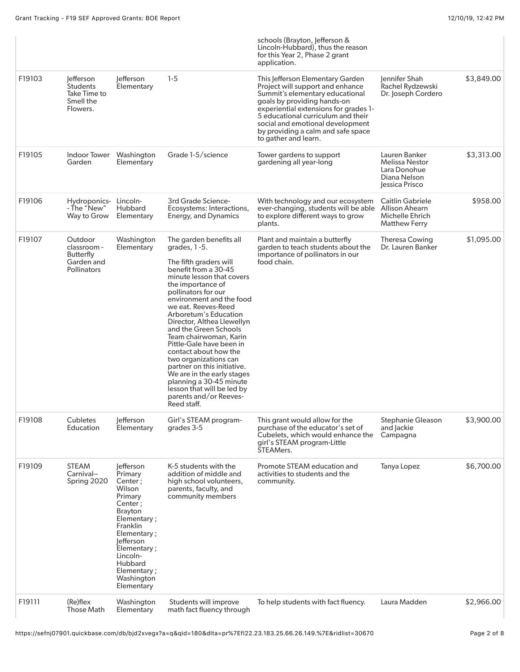|        |                                                                         |                                                                                                                                                                                                                                  |                                                                                                                                                                                                                                                                                                                                                                                                                                                                                                                                                                                 | schools (Brayton, Jefferson &<br>Lincoln-Hubbard), thus the reason<br>for this Year 2, Phase 2 grant<br>application.                                                                                                                                                                                                    |                                                                                             |            |
|--------|-------------------------------------------------------------------------|----------------------------------------------------------------------------------------------------------------------------------------------------------------------------------------------------------------------------------|---------------------------------------------------------------------------------------------------------------------------------------------------------------------------------------------------------------------------------------------------------------------------------------------------------------------------------------------------------------------------------------------------------------------------------------------------------------------------------------------------------------------------------------------------------------------------------|-------------------------------------------------------------------------------------------------------------------------------------------------------------------------------------------------------------------------------------------------------------------------------------------------------------------------|---------------------------------------------------------------------------------------------|------------|
| F19103 | lefferson<br><b>Students</b><br>Take Time to<br>Smell the<br>Flowers.   | lefferson<br>Elementary                                                                                                                                                                                                          | $1-5$                                                                                                                                                                                                                                                                                                                                                                                                                                                                                                                                                                           | This Jefferson Elementary Garden<br>Project will support and enhance<br>Summit's elementary educational<br>goals by providing hands-on<br>experiential extensions for grades 1-<br>5 educational curriculum and their<br>social and emotional development<br>by providing a calm and safe space<br>to gather and learn. | Jennifer Shah<br>Rachel Rydzewski<br>Dr. Joseph Cordero                                     | \$3,849.00 |
| F19105 | Indoor Tower<br>Garden                                                  | Washington<br>Elementary                                                                                                                                                                                                         | Grade 1-5/science                                                                                                                                                                                                                                                                                                                                                                                                                                                                                                                                                               | Tower gardens to support<br>gardening all year-long                                                                                                                                                                                                                                                                     | Lauren Banker<br><b>Melissa Nestor</b><br>Lara Donohue<br>Diana Nelson<br>essica Prisco     | \$3,313.00 |
| F19106 | Hydroponics- Lincoln-<br>- The "New"<br>Way to Grow                     | <b>Hubbard</b><br>Elementary                                                                                                                                                                                                     | 3rd Grade Science-<br>Ecosystems: Interactions,<br><b>Energy, and Dynamics</b>                                                                                                                                                                                                                                                                                                                                                                                                                                                                                                  | With technology and our ecosystem<br>ever-changing, students will be able<br>to explore different ways to grow<br>plants.                                                                                                                                                                                               | <b>Caitlin Gabriele</b><br><b>Allison Ahearn</b><br>Michelle Ehrich<br><b>Matthew Ferry</b> | \$958.00   |
| F19107 | Outdoor<br>classroom -<br>Butterfly<br>Garden and<br><b>Pollinators</b> | Washington<br>Elementary                                                                                                                                                                                                         | The garden benefits all<br>grades, $1-5$ .<br>The fifth graders will<br>benefit from a 30-45<br>minute lesson that covers<br>the importance of<br>pollinators for our<br>environment and the food<br>we eat. Reeves-Reed<br>Arboretum's Education<br>Director, Althea Llewellyn<br>and the Green Schools<br>Team chairwoman, Karin<br>Pittle-Gale have been in<br>contact about how the<br>two organizations can<br>partner on this initiative.<br>We are in the early stages<br>planning a 30-45 minute<br>lesson that will be led by<br>parents and/or Reeves-<br>Reed staff. | Plant and maintain a butterfly<br>garden to teach students about the<br>importance of pollinators in our<br>food chain.                                                                                                                                                                                                 | <b>Theresa Cowing</b><br>Dr. Lauren Banker                                                  | \$1,095.00 |
| F19108 | Cubletes<br>Education                                                   | lefferson<br>Elementary                                                                                                                                                                                                          | Girl's STEAM program-<br>grades 3-5                                                                                                                                                                                                                                                                                                                                                                                                                                                                                                                                             | This grant would allow for the<br>purchase of the educator's set of<br>Cubelets, which would enhance the<br>girl's STEAM program-Little<br>STEAMers.                                                                                                                                                                    | <b>Stephanie Gleason</b><br>and Jackie<br>Campagna                                          | \$3,900.00 |
| F19109 | <b>STEAM</b><br>Carnival--<br>Spring 2020                               | lefferson<br>Primary<br>Center;<br>Wilson<br>Primary<br>Center ;<br><b>Brayton</b><br>Elementary;<br>Franklin<br>Elementary;<br>efferson<br>Elementary;<br>Lincoln-<br><b>Hubbard</b><br>Elementary;<br>Washington<br>Elementary | K-5 students with the<br>addition of middle and<br>high school volunteers,<br>parents, faculty, and<br>community members                                                                                                                                                                                                                                                                                                                                                                                                                                                        | Promote STEAM education and<br>activities to students and the<br>community.                                                                                                                                                                                                                                             | Tanya Lopez                                                                                 | \$6,700.00 |
| F19111 | (Re)flex<br><b>Those Math</b>                                           | Washington<br>Elementary                                                                                                                                                                                                         | Students will improve<br>math fact fluency through                                                                                                                                                                                                                                                                                                                                                                                                                                                                                                                              | To help students with fact fluency.                                                                                                                                                                                                                                                                                     | Laura Madden                                                                                | \$2,966.00 |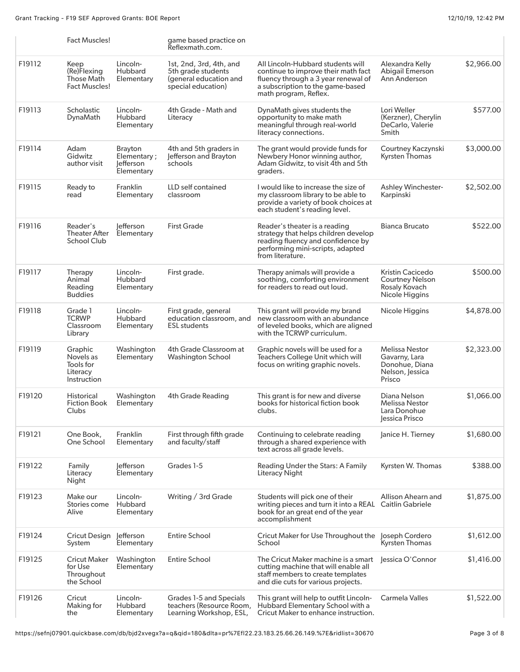|        | Fact Muscles!                                                    |                                                   | game based practice on<br>Reflexmath.com.                                                     |                                                                                                                                                                              |                                                                                       |            |
|--------|------------------------------------------------------------------|---------------------------------------------------|-----------------------------------------------------------------------------------------------|------------------------------------------------------------------------------------------------------------------------------------------------------------------------------|---------------------------------------------------------------------------------------|------------|
| F19112 | Keep<br>(Re)Flexing<br><b>Those Math</b><br><b>Fact Muscles!</b> | Lincoln-<br>Hubbard<br>Elementary                 | 1st, 2nd, 3rd, 4th, and<br>5th grade students<br>(general education and<br>special education) | All Lincoln-Hubbard students will<br>continue to improve their math fact<br>fluency through a 3 year renewal of<br>a subscription to the game-based<br>math program, Reflex. | Alexandra Kelly<br><b>Abigail Emerson</b><br>Ann Anderson                             | \$2,966.00 |
| F19113 | Scholastic<br>DynaMath                                           | Lincoln-<br>Hubbard<br>Elementary                 | 4th Grade - Math and<br>Literacy                                                              | DynaMath gives students the<br>opportunity to make math<br>meaningful through real-world<br>literacy connections.                                                            | Lori Weller<br>(Kerzner), Cherylin<br>DeCarlo, Valerie<br>Smith                       | \$577.00   |
| F19114 | Adam<br>Gidwitz<br>author visit                                  | Brayton<br>Elementary;<br>lefferson<br>Elementary | 4th and 5th graders in<br>Jefferson and Brayton<br>schools                                    | The grant would provide funds for<br>Newbery Honor winning author,<br>Adam Gidwitz, to visit 4th and 5th<br>graders.                                                         | Courtney Kaczynski<br><b>Kyrsten Thomas</b>                                           | \$3,000.00 |
| F19115 | Ready to<br>read                                                 | Franklin<br>Elementary                            | LLD self contained<br>classroom                                                               | I would like to increase the size of<br>my classroom library to be able to<br>provide a variety of book choices at<br>each student's reading level.                          | <b>Ashley Winchester-</b><br>Karpinski                                                | \$2,502.00 |
| F19116 | Reader's<br><b>Theater After</b><br>School Club                  | lefferson<br>Elementary                           | <b>First Grade</b>                                                                            | Reader's theater is a reading<br>strategy that helps children develop<br>reading fluency and confidence by<br>performing mini-scripts, adapted<br>from literature.           | <b>Bianca Brucato</b>                                                                 | \$522.00   |
| F19117 | Therapy<br>Animal<br>Reading<br><b>Buddies</b>                   | Lincoln-<br>Hubbard<br>Elementary                 | First grade.                                                                                  | Therapy animals will provide a<br>soothing, comforting environment<br>for readers to read out loud.                                                                          | Kristin Cacicedo<br><b>Courtney Nelson</b><br>Rosaly Kovach<br>Nicole Higgins         | \$500.00   |
| F19118 | Grade 1<br><b>TCRWP</b><br>Classroom<br>Library                  | Lincoln-<br>Hubbard<br>Elementary                 | First grade, general<br>education classroom, and<br><b>ESL students</b>                       | This grant will provide my brand<br>new classroom with an abundance<br>of leveled books, which are aligned<br>with the TCRWP curriculum.                                     | Nicole Higgins                                                                        | \$4,878.00 |
| F19119 | Graphic<br>Novels as<br>Tools for<br>Literacy<br>Instruction     | Washington<br>Elementary                          | 4th Grade Classroom at<br><b>Washington School</b>                                            | Graphic novels will be used for a<br>Teachers College Unit which will<br>focus on writing graphic novels.                                                                    | <b>Melissa Nestor</b><br>Gavarny, Lara<br>Donohue, Diana<br>Nelson, Jessica<br>Prisco | \$2,323.00 |
| F19120 | Historical<br><b>Fiction Book</b><br>Clubs                       | Washington<br>Elementary                          | <b>4th Grade Reading</b>                                                                      | This grant is for new and diverse<br>books for historical fiction book<br>clubs.                                                                                             | Diana Nelson<br><b>Melissa Nestor</b><br>Lara Donohue<br>Jessica Prisco               | \$1,066.00 |
| F19121 | One Book,<br>One School                                          | Franklin<br>Elementary                            | First through fifth grade<br>and faculty/staff                                                | Continuing to celebrate reading<br>through a shared experience with<br>text across all grade levels.                                                                         | Janice H. Tierney                                                                     | \$1,680.00 |
| F19122 | Family<br>Literacy<br>Night                                      | lefferson<br>Elementary                           | Grades 1-5                                                                                    | Reading Under the Stars: A Family<br>Literacy Night                                                                                                                          | Kyrsten W. Thomas                                                                     | \$388.00   |
| F19123 | Make our<br>Stories come<br>Alive                                | Lincoln-<br>Hubbard<br>Elementary                 | Writing / 3rd Grade                                                                           | Students will pick one of their<br>writing pieces and turn it into a REAL Caitlin Gabriele<br>book for an great end of the year<br>accomplishment                            | Allison Ahearn and                                                                    | \$1,875.00 |
| F19124 | Cricut Design Jefferson<br>System                                | Elementary                                        | <b>Entire School</b>                                                                          | Cricut Maker for Use Throughout the Joseph Cordero<br>School                                                                                                                 | <b>Kyrsten Thomas</b>                                                                 | \$1,612.00 |
| F19125 | <b>Cricut Maker</b><br>for Use<br>Throughout<br>the School       | Washington<br>Elementary                          | <b>Entire School</b>                                                                          | The Cricut Maker machine is a smart<br>cutting machine that will enable all<br>staff members to create templates<br>and die cuts for various projects.                       | Jessica O'Connor                                                                      | \$1,416.00 |
| F19126 | Cricut<br>Making for<br>the                                      | Lincoln-<br>Hubbard<br>Elementary                 | Grades 1-5 and Specials<br>teachers (Resource Room,<br>Learning Workshop, ESL,                | This grant will help to outfit Lincoln-<br>Hubbard Elementary School with a<br>Cricut Maker to enhance instruction.                                                          | <b>Carmela Valles</b>                                                                 | \$1,522.00 |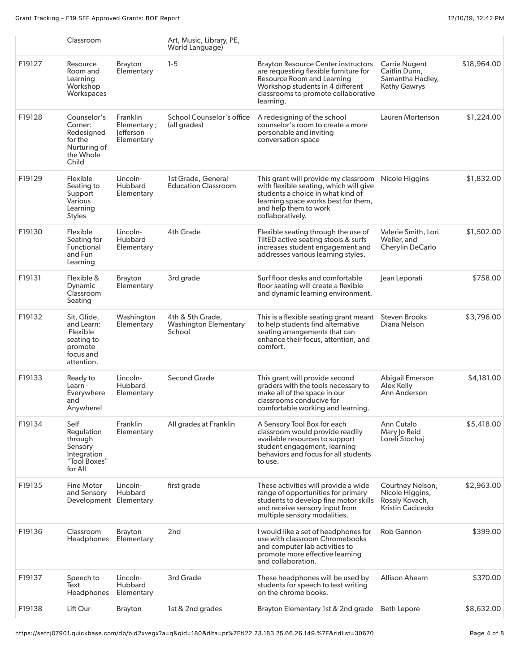Grant Tracking - F19 SEF Approved Grants: BOE Report 12/10/19, 12:42 PM

|        | Classroom                                                                                 |                                                    | Art, Music, Library, PE,<br>World Language)                |                                                                                                                                                                                                           |                                                                                  |             |
|--------|-------------------------------------------------------------------------------------------|----------------------------------------------------|------------------------------------------------------------|-----------------------------------------------------------------------------------------------------------------------------------------------------------------------------------------------------------|----------------------------------------------------------------------------------|-------------|
| F19127 | Resource<br>Room and<br>Learning<br>Workshop<br>Workspaces                                | <b>Brayton</b><br>Elementary                       | $1-5$                                                      | <b>Brayton Resource Center instructors</b><br>are requesting flexible furniture for<br>Resource Room and Learning<br>Workshop students in 4 different<br>classrooms to promote collaborative<br>learning. | <b>Carrie Nugent</b><br>Caitlin Dunn,<br>Samantha Hadley,<br><b>Kathy Gawrys</b> | \$18,964.00 |
| F19128 | Counselor's<br>Corner:<br>Redesigned<br>for the<br>Nurturing of<br>the Whole<br>Child     | Franklin<br>Elementary;<br>lefferson<br>Elementary | School Counselor's office<br>(all grades)                  | A redesigning of the school<br>counselor's room to create a more<br>personable and inviting<br>conversation space                                                                                         | Lauren Mortenson                                                                 | \$1,224.00  |
| F19129 | Flexible<br>Seating to<br>Support<br>Various<br>Learning<br>Styles                        | Lincoln-<br><b>Hubbard</b><br>Elementary           | 1st Grade, General<br><b>Education Classroom</b>           | This grant will provide my classroom<br>with flexible seating, which will give<br>students a choice in what kind of<br>learning space works best for them,<br>and help them to work<br>collaboratively.   | Nicole Higgins                                                                   | \$1,832.00  |
| F19130 | Flexible<br>Seating for<br>Functional<br>and Fun<br>Learning                              | Lincoln-<br>Hubbard<br>Elementary                  | 4th Grade                                                  | Flexible seating through the use of<br>TiltED active seating stools & surfs<br>increases student engagement and<br>addresses various learning styles.                                                     | Valerie Smith, Lori<br>Weller, and<br><b>Cherylin DeCarlo</b>                    | \$1,502.00  |
| F19131 | Flexible &<br>Dynamic<br>Classroom<br>Seating                                             | Brayton<br>Elementary                              | 3rd grade                                                  | Surf floor desks and comfortable<br>floor seating will create a flexible<br>and dynamic learning environment.                                                                                             | Jean Leporati                                                                    | \$758.00    |
| F19132 | Sit, Glide,<br>and Learn:<br>Flexible<br>seating to<br>promote<br>focus and<br>attention. | Washington<br>Elementary                           | 4th & 5th Grade,<br><b>Washington Elementary</b><br>School | This is a flexible seating grant meant<br>to help students find alternative<br>seating arrangements that can<br>enhance their focus, attention, and<br>comfort.                                           | <b>Steven Brooks</b><br>Diana Nelson                                             | \$3,796.00  |
| F19133 | Ready to<br>Learn -<br>Everywhere<br>and<br>Anywhere!                                     | Lincoln-<br>Hubbard<br>Elementary                  | <b>Second Grade</b>                                        | This grant will provide second<br>graders with the tools necessary to<br>make all of the space in our<br>classrooms conducive for<br>comfortable working and learning.                                    | <b>Abigail Emerson</b><br>Alex Kelly<br>Ann Anderson                             | \$4,181.00  |
| F19134 | Self<br>Regulation<br>through<br>Sensory<br>Integration<br>"Tool Boxes"<br>for All        | Franklin<br>Elementary                             | All grades at Franklin                                     | A Sensory Tool Box for each<br>classroom would provide readily<br>available resources to support<br>student engagement, learning<br>behaviors and focus for all students<br>to use.                       | Ann Cutalo<br>Mary Jo Reid<br>Loreli Stochaj                                     | \$5,418.00  |
| F19135 | Fine Motor<br>and Sensory<br>Development Elementary                                       | Lincoln-<br>Hubbard                                | first grade                                                | These activities will provide a wide<br>range of opportunities for primary<br>students to develop fine motor skills<br>and receive sensory input from<br>multiple sensory modalities.                     | Courtney Nelson,<br>Nicole Higgins,<br>Rosaly Kovach,<br>Kristin Cacicedo        | \$2,963.00  |
| F19136 | Classroom<br><b>Headphones</b>                                                            | Brayton<br>Elementary                              | 2nd                                                        | I would like a set of headphones for<br>use with classroom Chromebooks<br>and computer lab activities to<br>promote more effective learning<br>and collaboration.                                         | Rob Gannon                                                                       | \$399.00    |
| F19137 | Speech to<br>Text<br>Headphones                                                           | Lincoln-<br>Hubbard<br>Elementary                  | 3rd Grade                                                  | These headphones will be used by<br>students for speech to text writing<br>on the chrome books.                                                                                                           | Allison Ahearn                                                                   | \$370.00    |
| F19138 | Lift Our                                                                                  | <b>Brayton</b>                                     | 1st & 2nd grades                                           | Brayton Elementary 1st & 2nd grade                                                                                                                                                                        | <b>Beth Lepore</b>                                                               | \$8,632.00  |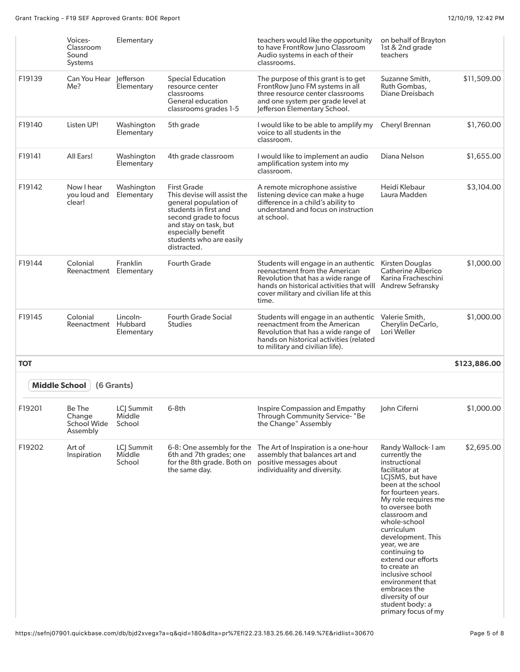|            | Voices-<br>Classroom<br>Sound<br>Systems    | Elementary                        |                                                                                                                                                                                                                       | teachers would like the opportunity<br>to have FrontRow Juno Classroom<br>Audio systems in each of their<br>classrooms.                                                                                                                        | on behalf of Brayton<br>1st & 2nd grade<br>teachers                                                                                                                                                                                                                                                                                                                                                                                                |              |
|------------|---------------------------------------------|-----------------------------------|-----------------------------------------------------------------------------------------------------------------------------------------------------------------------------------------------------------------------|------------------------------------------------------------------------------------------------------------------------------------------------------------------------------------------------------------------------------------------------|----------------------------------------------------------------------------------------------------------------------------------------------------------------------------------------------------------------------------------------------------------------------------------------------------------------------------------------------------------------------------------------------------------------------------------------------------|--------------|
| F19139     | Can You Hear Jefferson<br>Me?               | Elementary                        | Special Education<br>resource center<br>classrooms<br>General education<br>classrooms grades 1-5                                                                                                                      | The purpose of this grant is to get<br>FrontRow Juno FM systems in all<br>three resource center classrooms<br>and one system per grade level at<br>Jefferson Elementary School.                                                                | Suzanne Smith,<br>Ruth Gombas,<br>Diane Dreisbach                                                                                                                                                                                                                                                                                                                                                                                                  | \$11,509.00  |
| F19140     | Listen UP!                                  | Washington<br>Elementary          | 5th grade                                                                                                                                                                                                             | I would like to be able to amplify my<br>voice to all students in the<br>classroom.                                                                                                                                                            | Cheryl Brennan                                                                                                                                                                                                                                                                                                                                                                                                                                     | \$1,760.00   |
| F19141     | All Ears!                                   | Washington<br>Elementary          | 4th grade classroom                                                                                                                                                                                                   | I would like to implement an audio<br>amplification system into my<br>classroom.                                                                                                                                                               | Diana Nelson                                                                                                                                                                                                                                                                                                                                                                                                                                       | \$1,655.00   |
| F19142     | Now I hear<br>you loud and<br>clear!        | Washington<br>Elementary          | <b>First Grade</b><br>This devise will assist the<br>general population of<br>students in first and<br>second grade to focus<br>and stay on task, but<br>especially benefit<br>students who are easily<br>distracted. | A remote microphone assistive<br>listening device can make a huge<br>difference in a child's ability to<br>understand and focus on instruction<br>at school.                                                                                   | Heidi Klebaur<br>Laura Madden                                                                                                                                                                                                                                                                                                                                                                                                                      | \$3,104.00   |
| F19144     | Colonial<br>Reenactment                     | Franklin<br>Elementary            | <b>Fourth Grade</b>                                                                                                                                                                                                   | Students will engage in an authentic Kirsten Douglas<br>reenactment from the American<br>Revolution that has a wide range of<br>hands on historical activities that will Andrew Sefransky<br>cover military and civilian life at this<br>time. | Catherine Alberico<br>Karina Fracheschini                                                                                                                                                                                                                                                                                                                                                                                                          | \$1,000.00   |
| F19145     | Colonial<br>Reenactment                     | Lincoln-<br>Hubbard<br>Elementary | <b>Fourth Grade Social</b><br><b>Studies</b>                                                                                                                                                                          | Students will engage in an authentic<br>reenactment from the American<br>Revolution that has a wide range of<br>hands on historical activities (related<br>to military and civilian life).                                                     | Valerie Smith,<br>Cherylin DeCarlo,<br>Lori Weller                                                                                                                                                                                                                                                                                                                                                                                                 | \$1,000.00   |
| <b>TOT</b> |                                             |                                   |                                                                                                                                                                                                                       |                                                                                                                                                                                                                                                |                                                                                                                                                                                                                                                                                                                                                                                                                                                    | \$123,886.00 |
|            | Middle School                               | (6 Grants)                        |                                                                                                                                                                                                                       |                                                                                                                                                                                                                                                |                                                                                                                                                                                                                                                                                                                                                                                                                                                    |              |
| F19201     | Be The<br>Change<br>School Wide<br>Assembly | LCJ Summit<br>Middle<br>School    | $6-8th$                                                                                                                                                                                                               | Inspire Compassion and Empathy<br>Through Community Service-"Be<br>the Change" Assembly                                                                                                                                                        | John Ciferni                                                                                                                                                                                                                                                                                                                                                                                                                                       | \$1,000.00   |
| F19202     | Art of<br>Inspiration                       | LCJ Summit<br>Middle<br>School    | 6-8: One assembly for the<br>6th and 7th grades; one<br>for the 8th grade. Both on<br>the same day.                                                                                                                   | The Art of Inspiration is a one-hour<br>assembly that balances art and<br>positive messages about<br>individuality and diversity.                                                                                                              | Randy Wallock-1 am<br>currently the<br>instructional<br>facilitator at<br>LCJSMS, but have<br>been at the school<br>for fourteen years.<br>My role requires me<br>to oversee both<br>classroom and<br>whole-school<br>curriculum<br>development. This<br>year, we are<br>continuing to<br>extend our efforts<br>to create an<br>inclusive school<br>environment that<br>embraces the<br>diversity of our<br>student body: a<br>primary focus of my | \$2,695.00   |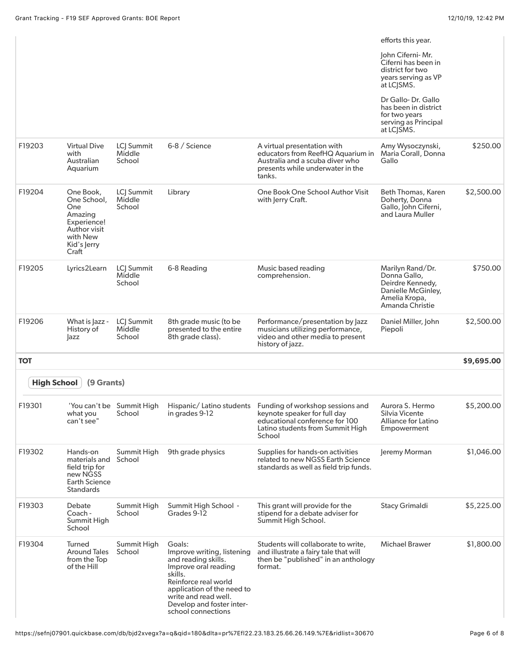|                    |                                                                                                               |                                     |                                                                                                                                                                                                                                 |                                                                                                                                                                           | efforts this year.<br>John Ciferni- Mr.                                                                        |            |
|--------------------|---------------------------------------------------------------------------------------------------------------|-------------------------------------|---------------------------------------------------------------------------------------------------------------------------------------------------------------------------------------------------------------------------------|---------------------------------------------------------------------------------------------------------------------------------------------------------------------------|----------------------------------------------------------------------------------------------------------------|------------|
|                    |                                                                                                               |                                     |                                                                                                                                                                                                                                 |                                                                                                                                                                           | Ciferni has been in<br>district for two<br>years serving as VP<br>at LCJSMS.                                   |            |
|                    |                                                                                                               |                                     |                                                                                                                                                                                                                                 |                                                                                                                                                                           | Dr Gallo-Dr. Gallo<br>has been in district<br>for two years<br>serving as Principal<br>at LCJSMS.              |            |
| F19203             | <b>Virtual Dive</b><br>with<br>Australian<br>Aquarium                                                         | LCJ Summit<br>Middle<br>School      | 6-8 / Science                                                                                                                                                                                                                   | A virtual presentation with<br>educators from ReefHQ Aquarium in<br>Australia and a scuba diver who<br>presents while underwater in the<br>tanks.                         | Amy Wysoczynski,<br>Maria Corall, Donna<br>Gallo                                                               | \$250.00   |
| F19204             | One Book,<br>One School,<br>One<br>Amazing<br>Experience!<br>Author visit<br>with New<br>Kid's Jerry<br>Craft | LCJ Summit<br>Middle<br>School      | Library                                                                                                                                                                                                                         | One Book One School Author Visit<br>with Jerry Craft.                                                                                                                     | Beth Thomas, Karen<br>Doherty, Donna<br>Gallo, John Ciferni,<br>and Laura Muller                               | \$2,500.00 |
| F19205             | Lyrics2Learn                                                                                                  | LCJ Summit<br>Middle<br>School      | 6-8 Reading                                                                                                                                                                                                                     | Music based reading<br>comprehension.                                                                                                                                     | Marilyn Rand/Dr.<br>Donna Gallo,<br>Deirdre Kennedy,<br>Danielle McGinley,<br>Amelia Kropa,<br>Amanda Christie | \$750.00   |
| F19206             | What is Jazz -<br>History of<br>azz                                                                           | LCJ Summit<br>Middle<br>School      | 8th grade music (to be<br>presented to the entire<br>8th grade class).                                                                                                                                                          | Performance/presentation by Jazz<br>musicians utilizing performance,<br>video and other media to present<br>history of jazz.                                              | Daniel Miller, John<br>Piepoli                                                                                 | \$2,500.00 |
| <b>TOT</b>         |                                                                                                               |                                     |                                                                                                                                                                                                                                 |                                                                                                                                                                           |                                                                                                                | \$9,695.00 |
| <b>High School</b> | (9 Grants)                                                                                                    |                                     |                                                                                                                                                                                                                                 |                                                                                                                                                                           |                                                                                                                |            |
| F19301             | what you<br>can't see"                                                                                        | 'You can't be Summit High<br>School | in grades 9-12                                                                                                                                                                                                                  | Hispanic/Latino students Funding of workshop sessions and<br>keynote speaker for full day<br>educational conference for 100<br>Latino students from Summit High<br>School | Aurora S. Hermo<br>Silvia Vicente<br>Alliance for Latino<br>Empowerment                                        | \$5,200.00 |
| F19302             | Hands-on<br>materials and<br>field trip for<br>new NGSS<br><b>Earth Science</b><br>Standards                  | Summit High<br>School               | 9th grade physics                                                                                                                                                                                                               | Supplies for hands-on activities<br>related to new NGSS Earth Science<br>standards as well as field trip funds.                                                           | Jeremy Morman                                                                                                  | \$1,046.00 |
| F19303             | Debate<br>Coach -<br>Summit High<br>School                                                                    | Summit High<br>School               | Summit High School -<br>Grades 9-12                                                                                                                                                                                             | This grant will provide for the<br>stipend for a debate adviser for<br>Summit High School.                                                                                | Stacy Grimaldi                                                                                                 | \$5,225.00 |
| F19304             | Turned<br>Around Tales<br>from the Top<br>of the Hill                                                         | Summit High<br>School               | Goals:<br>Improve writing, listening<br>and reading skills.<br>Improve oral reading<br>skills.<br>Reinforce real world<br>application of the need to<br>write and read well.<br>Develop and foster inter-<br>school connections | Students will collaborate to write,<br>and illustrate a fairy tale that will<br>then be "published" in an anthology<br>format.                                            | <b>Michael Brawer</b>                                                                                          | \$1,800.00 |